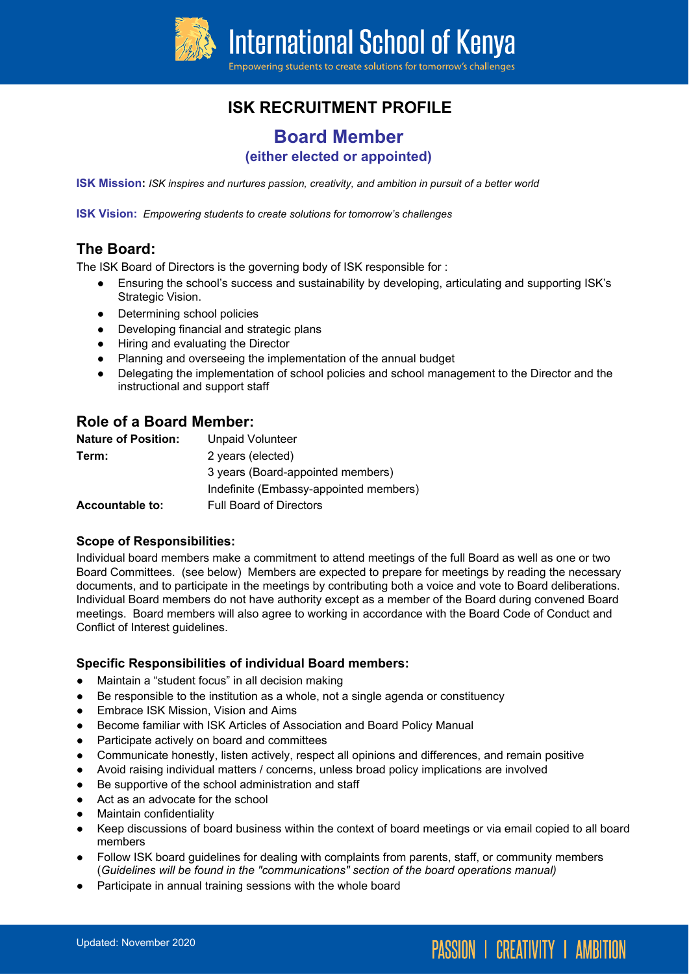

# **ISK RECRUITMENT PROFILE**

# **Board Member**

## **(either elected or appointed)**

**ISK Mission:** *ISK inspires and nurtures passion, creativity, and ambition in pursuit of a better world*

**ISK Vision:** *Empowering students to create solutions for tomorrow's challenges*

#### **The Board:**

The ISK Board of Directors is the governing body of ISK responsible for :

- Ensuring the school's success and sustainability by developing, articulating and supporting ISK's Strategic Vision.
- Determining school policies
- Developing financial and strategic plans
- Hiring and evaluating the Director
- Planning and overseeing the implementation of the annual budget
- Delegating the implementation of school policies and school management to the Director and the instructional and support staff

## **Role of a Board Member:**

| <b>Nature of Position:</b> | <b>Unpaid Volunteer</b>                |
|----------------------------|----------------------------------------|
| Term:                      | 2 years (elected)                      |
|                            | 3 years (Board-appointed members)      |
|                            | Indefinite (Embassy-appointed members) |
| <b>Accountable to:</b>     | <b>Full Board of Directors</b>         |

#### **Scope of Responsibilities:**

Individual board members make a commitment to attend meetings of the full Board as well as one or two Board Committees. (see below) Members are expected to prepare for meetings by reading the necessary documents, and to participate in the meetings by contributing both a voice and vote to Board deliberations. Individual Board members do not have authority except as a member of the Board during convened Board meetings. Board members will also agree to working in accordance with the Board Code of Conduct and Conflict of Interest guidelines.

#### **Specific Responsibilities of individual Board members:**

- Maintain a "student focus" in all decision making
- Be responsible to the institution as a whole, not a single agenda or constituency
- **Embrace ISK Mission, Vision and Aims**
- Become familiar with ISK Articles of Association and Board Policy Manual
- Participate actively on board and committees
- Communicate honestly, listen actively, respect all opinions and differences, and remain positive
- Avoid raising individual matters / concerns, unless broad policy implications are involved
- Be supportive of the school administration and staff
- Act as an advocate for the school
- Maintain confidentiality
- Keep discussions of board business within the context of board meetings or via email copied to all board members

**PASSION | CREATIVITY | AMBITION** 

- Follow ISK board guidelines for dealing with complaints from parents, staff, or community members (*Guidelines will be found in the "communications" section of the board operations manual)*
- Participate in annual training sessions with the whole board